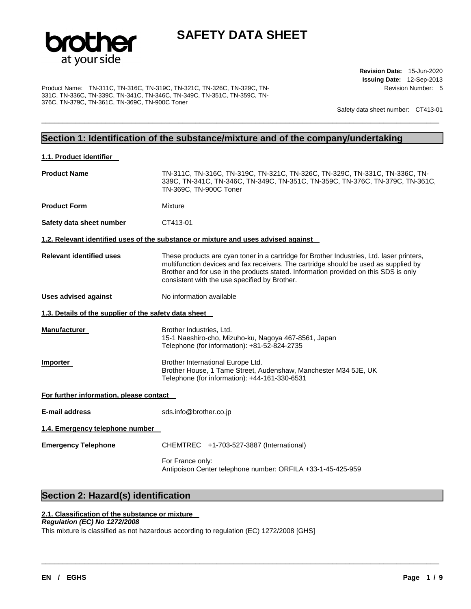

\_\_\_\_\_\_\_\_\_\_\_\_\_\_\_\_\_\_\_\_\_\_\_\_\_\_\_\_\_\_\_\_\_\_\_\_\_\_\_\_\_\_\_\_\_\_\_\_\_\_\_\_\_\_\_\_\_\_\_\_\_\_\_\_\_\_\_\_\_\_\_\_\_\_\_\_\_\_\_\_\_\_\_\_\_\_\_\_\_\_\_\_\_

Product Name: TN-311C, TN-316C, TN-319C, TN-321C, TN-326C, TN-329C, TN-331C, TN-336C, TN-339C, TN-341C, TN-346C, TN-349C, TN-351C, TN-359C, TN-376C, TN-379C, TN-361C, TN-369C, TN-900C Toner

**Revision Date:** 15-Jun-2020 **Issuing Date:** 12-Sep-2013 Revision Number: 5

Safety data sheet number: CT413-01

# **Section 1: Identification of the substance/mixture and of the company/undertaking**

| 1.1. Product identifier                               |                                                                                                                                                                                                                                                                                                                            |
|-------------------------------------------------------|----------------------------------------------------------------------------------------------------------------------------------------------------------------------------------------------------------------------------------------------------------------------------------------------------------------------------|
| <b>Product Name</b>                                   | TN-311C, TN-316C, TN-319C, TN-321C, TN-326C, TN-329C, TN-331C, TN-336C, TN-<br>339C, TN-341C, TN-346C, TN-349C, TN-351C, TN-359C, TN-376C, TN-379C, TN-361C,<br>TN-369C, TN-900C Toner                                                                                                                                     |
| <b>Product Form</b>                                   | Mixture                                                                                                                                                                                                                                                                                                                    |
| Safety data sheet number                              | CT413-01                                                                                                                                                                                                                                                                                                                   |
|                                                       | 1.2. Relevant identified uses of the substance or mixture and uses advised against                                                                                                                                                                                                                                         |
| <b>Relevant identified uses</b>                       | These products are cyan toner in a cartridge for Brother Industries, Ltd. laser printers,<br>multifunction devices and fax receivers. The cartridge should be used as supplied by<br>Brother and for use in the products stated. Information provided on this SDS is only<br>consistent with the use specified by Brother. |
| <b>Uses advised against</b>                           | No information available                                                                                                                                                                                                                                                                                                   |
| 1.3. Details of the supplier of the safety data sheet |                                                                                                                                                                                                                                                                                                                            |
| <b>Manufacturer</b>                                   | Brother Industries, Ltd.<br>15-1 Naeshiro-cho, Mizuho-ku, Nagoya 467-8561, Japan<br>Telephone (for information): +81-52-824-2735                                                                                                                                                                                           |
| Importer                                              | Brother International Europe Ltd.<br>Brother House, 1 Tame Street, Audenshaw, Manchester M34 5JE, UK<br>Telephone (for information): +44-161-330-6531                                                                                                                                                                      |
| For further information, please contact               |                                                                                                                                                                                                                                                                                                                            |
| <b>E-mail address</b>                                 | sds.info@brother.co.jp                                                                                                                                                                                                                                                                                                     |
| 1.4. Emergency telephone number                       |                                                                                                                                                                                                                                                                                                                            |
| <b>Emergency Telephone</b>                            | CHEMTREC +1-703-527-3887 (International)                                                                                                                                                                                                                                                                                   |
|                                                       | For France only:<br>Antipoison Center telephone number: ORFILA +33-1-45-425-959                                                                                                                                                                                                                                            |

\_\_\_\_\_\_\_\_\_\_\_\_\_\_\_\_\_\_\_\_\_\_\_\_\_\_\_\_\_\_\_\_\_\_\_\_\_\_\_\_\_\_\_\_\_\_\_\_\_\_\_\_\_\_\_\_\_\_\_\_\_\_\_\_\_\_\_\_\_\_\_\_\_\_\_\_\_\_\_\_\_\_\_\_\_\_\_\_\_\_\_\_\_

# **Section 2: Hazard(s) identification**

#### **2.1. Classification of the substance or mixture**

#### *Regulation (EC) No 1272/2008*

This mixture is classified as not hazardous according to regulation (EC) 1272/2008 [GHS]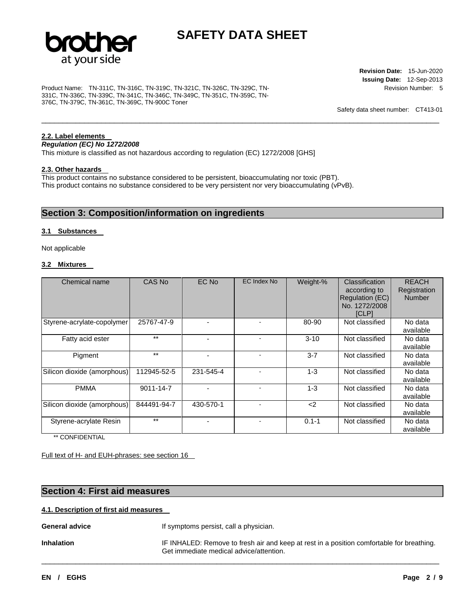

\_\_\_\_\_\_\_\_\_\_\_\_\_\_\_\_\_\_\_\_\_\_\_\_\_\_\_\_\_\_\_\_\_\_\_\_\_\_\_\_\_\_\_\_\_\_\_\_\_\_\_\_\_\_\_\_\_\_\_\_\_\_\_\_\_\_\_\_\_\_\_\_\_\_\_\_\_\_\_\_\_\_\_\_\_\_\_\_\_\_\_\_\_

Product Name: TN-311C, TN-316C, TN-319C, TN-321C, TN-326C, TN-329C, TN-331C, TN-336C, TN-339C, TN-341C, TN-346C, TN-349C, TN-351C, TN-359C, TN-376C, TN-379C, TN-361C, TN-369C, TN-900C Toner

**Revision Date:** 15-Jun-2020 **Issuing Date:** 12-Sep-2013 Revision Number: 5

Safety data sheet number: CT413-01

### **2.2. Label elements**

*Regulation (EC) No 1272/2008* 

This mixture is classified as not hazardous according to regulation (EC) 1272/2008 [GHS]

### **2.3. Other hazards**

This product contains no substance considered to be persistent, bioaccumulating nor toxic (PBT). This product contains no substance considered to be very persistent nor very bioaccumulating (vPvB).

## **Section 3: Composition/information on ingredients**

#### **3.1 Substances**

Not applicable

### **3.2 Mixtures**

| Chemical name               | CAS No      | EC No     | EC Index No | Weight-%    | Classification<br>according to<br><b>Regulation (EC)</b><br>No. 1272/2008<br>ICLP1 | <b>REACH</b><br>Registration<br><b>Number</b> |
|-----------------------------|-------------|-----------|-------------|-------------|------------------------------------------------------------------------------------|-----------------------------------------------|
| Styrene-acrylate-copolymer  | 25767-47-9  |           |             | 80-90       | Not classified                                                                     | No data<br>available                          |
| Fatty acid ester            | $***$       |           |             | $3 - 10$    | Not classified                                                                     | No data<br>available                          |
| Pigment                     | $***$       |           |             | $3 - 7$     | Not classified                                                                     | No data<br>available                          |
| Silicon dioxide (amorphous) | 112945-52-5 | 231-545-4 |             | $1 - 3$     | Not classified                                                                     | No data<br>available                          |
| <b>PMMA</b>                 | 9011-14-7   |           |             | $1 - 3$     | Not classified                                                                     | No data<br>available                          |
| Silicon dioxide (amorphous) | 844491-94-7 | 430-570-1 |             | $\langle$ 2 | Not classified                                                                     | No data<br>available                          |
| Styrene-acrylate Resin      | $***$       |           |             | $0.1 - 1$   | Not classified                                                                     | No data<br>available                          |

\*\* CONFIDENTIAL

Full text of H- and EUH-phrases: see section 16

## **Section 4: First aid measures**

#### **4.1. Description of first aid measures**

General advice **If** symptoms persist, call a physician.

\_\_\_\_\_\_\_\_\_\_\_\_\_\_\_\_\_\_\_\_\_\_\_\_\_\_\_\_\_\_\_\_\_\_\_\_\_\_\_\_\_\_\_\_\_\_\_\_\_\_\_\_\_\_\_\_\_\_\_\_\_\_\_\_\_\_\_\_\_\_\_\_\_\_\_\_\_\_\_\_\_\_\_\_\_\_\_\_\_\_\_\_\_ **Inhalation** IF INHALED: Remove to fresh air and keep at rest in a position comfortable for breathing. Get immediate medical advice/attention.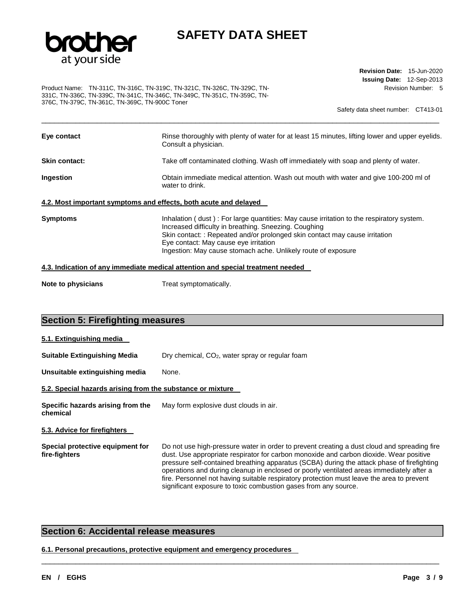

\_\_\_\_\_\_\_\_\_\_\_\_\_\_\_\_\_\_\_\_\_\_\_\_\_\_\_\_\_\_\_\_\_\_\_\_\_\_\_\_\_\_\_\_\_\_\_\_\_\_\_\_\_\_\_\_\_\_\_\_\_\_\_\_\_\_\_\_\_\_\_\_\_\_\_\_\_\_\_\_\_\_\_\_\_\_\_\_\_\_\_\_\_

Product Name: TN-311C, TN-316C, TN-319C, TN-321C, TN-326C, TN-329C, TN-331C, TN-336C, TN-339C, TN-341C, TN-346C, TN-349C, TN-351C, TN-359C, TN-376C, TN-379C, TN-361C, TN-369C, TN-900C Toner

**Revision Date:** 15-Jun-2020 **Issuing Date:** 12-Sep-2013 Revision Number: 5

Safety data sheet number: CT413-01

| Eye contact   | Rinse thoroughly with plenty of water for at least 15 minutes, lifting lower and upper eyelids.<br>Consult a physician.                                                                                                                                                                                                                    |
|---------------|--------------------------------------------------------------------------------------------------------------------------------------------------------------------------------------------------------------------------------------------------------------------------------------------------------------------------------------------|
| Skin contact: | Take off contaminated clothing. Wash off immediately with soap and plenty of water.                                                                                                                                                                                                                                                        |
| Ingestion     | Obtain immediate medical attention. Wash out mouth with water and give 100-200 ml of<br>water to drink.                                                                                                                                                                                                                                    |
|               | 4.2. Most important symptoms and effects, both acute and delayed                                                                                                                                                                                                                                                                           |
| Symptoms      | Inhalation (dust): For large quantities: May cause irritation to the respiratory system.<br>Increased difficulty in breathing. Sneezing. Coughing<br>Skin contact: : Repeated and/or prolonged skin contact may cause irritation<br>Eye contact: May cause eye irritation<br>Ingestion: May cause stomach ache. Unlikely route of exposure |
|               | 4.3. Indication of any immediate medical attention and special treatment needed                                                                                                                                                                                                                                                            |

**Note to physicians Treat symptomatically.** 

# **Section 5: Firefighting measures**

| 5.1. Extinguishing media                                   |                                                                                                                                                                                                                                                                                                                                                                                                                                                                              |
|------------------------------------------------------------|------------------------------------------------------------------------------------------------------------------------------------------------------------------------------------------------------------------------------------------------------------------------------------------------------------------------------------------------------------------------------------------------------------------------------------------------------------------------------|
| Suitable Extinguishing Media                               | Dry chemical, CO <sub>2</sub> , water spray or regular foam                                                                                                                                                                                                                                                                                                                                                                                                                  |
| Unsuitable extinguishing media                             | None.                                                                                                                                                                                                                                                                                                                                                                                                                                                                        |
| 5.2. Special hazards arising from the substance or mixture |                                                                                                                                                                                                                                                                                                                                                                                                                                                                              |
| Specific hazards arising from the<br>chemical              | May form explosive dust clouds in air.                                                                                                                                                                                                                                                                                                                                                                                                                                       |
| 5.3. Advice for firefighters                               |                                                                                                                                                                                                                                                                                                                                                                                                                                                                              |
| Special protective equipment for<br>fire-fighters          | Do not use high-pressure water in order to prevent creating a dust cloud and spreading fire<br>dust. Use appropriate respirator for carbon monoxide and carbon dioxide. Wear positive<br>pressure self-contained breathing apparatus (SCBA) during the attack phase of firefighting<br>operations and during cleanup in enclosed or poorly ventilated areas immediately after a<br>fire. Personnel not having suitable respiratory protection must leave the area to prevent |

\_\_\_\_\_\_\_\_\_\_\_\_\_\_\_\_\_\_\_\_\_\_\_\_\_\_\_\_\_\_\_\_\_\_\_\_\_\_\_\_\_\_\_\_\_\_\_\_\_\_\_\_\_\_\_\_\_\_\_\_\_\_\_\_\_\_\_\_\_\_\_\_\_\_\_\_\_\_\_\_\_\_\_\_\_\_\_\_\_\_\_\_\_

significant exposure to toxic combustion gases from any source.

## **Section 6: Accidental release measures**

### **6.1. Personal precautions, protective equipment and emergency procedures**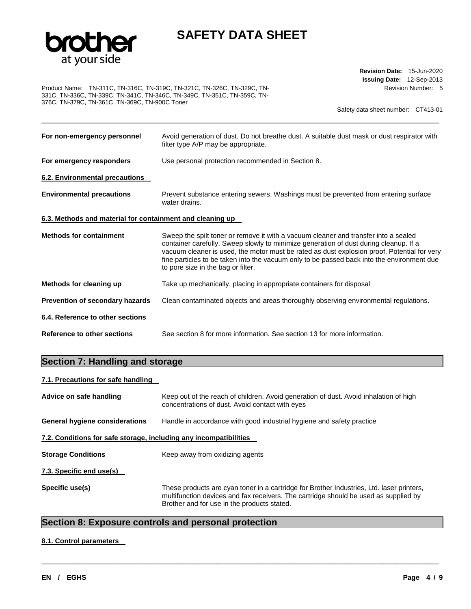

\_\_\_\_\_\_\_\_\_\_\_\_\_\_\_\_\_\_\_\_\_\_\_\_\_\_\_\_\_\_\_\_\_\_\_\_\_\_\_\_\_\_\_\_\_\_\_\_\_\_\_\_\_\_\_\_\_\_\_\_\_\_\_\_\_\_\_\_\_\_\_\_\_\_\_\_\_\_\_\_\_\_\_\_\_\_\_\_\_\_\_\_\_

Product Name: TN-311C, TN-316C, TN-319C, TN-321C, TN-326C, TN-329C, TN-331C, TN-336C, TN-339C, TN-341C, TN-346C, TN-349C, TN-351C, TN-359C, TN-376C, TN-379C, TN-361C, TN-369C, TN-900C Toner

**Revision Date:** 15-Jun-2020 **Issuing Date:** 12-Sep-2013 Revision Number: 5

Safety data sheet number: CT413-01

| For non-emergency personnel                               | Avoid generation of dust. Do not breathe dust. A suitable dust mask or dust respirator with<br>filter type A/P may be appropriate.                                                                                                                                                                                                                                                                              |
|-----------------------------------------------------------|-----------------------------------------------------------------------------------------------------------------------------------------------------------------------------------------------------------------------------------------------------------------------------------------------------------------------------------------------------------------------------------------------------------------|
| For emergency responders                                  | Use personal protection recommended in Section 8.                                                                                                                                                                                                                                                                                                                                                               |
| <b>6.2. Environmental precautions</b>                     |                                                                                                                                                                                                                                                                                                                                                                                                                 |
| <b>Environmental precautions</b>                          | Prevent substance entering sewers. Washings must be prevented from entering surface<br>water drains.                                                                                                                                                                                                                                                                                                            |
| 6.3. Methods and material for containment and cleaning up |                                                                                                                                                                                                                                                                                                                                                                                                                 |
| <b>Methods for containment</b>                            | Sweep the spilt toner or remove it with a vacuum cleaner and transfer into a sealed<br>container carefully. Sweep slowly to minimize generation of dust during cleanup. If a<br>vacuum cleaner is used, the motor must be rated as dust explosion proof. Potential for very<br>fine particles to be taken into the vacuum only to be passed back into the environment due<br>to pore size in the bag or filter. |
| Methods for cleaning up                                   | Take up mechanically, placing in appropriate containers for disposal                                                                                                                                                                                                                                                                                                                                            |
| Prevention of secondary hazards                           | Clean contaminated objects and areas thoroughly observing environmental regulations.                                                                                                                                                                                                                                                                                                                            |
| 6.4. Reference to other sections                          |                                                                                                                                                                                                                                                                                                                                                                                                                 |
| <b>Reference to other sections</b>                        | See section 8 for more information. See section 13 for more information.                                                                                                                                                                                                                                                                                                                                        |

# **Section 7: Handling and storage**

### **7.1. Precautions for safe handling**

| Advice on safe handling                                           | Keep out of the reach of children. Avoid generation of dust. Avoid inhalation of high<br>concentrations of dust. Avoid contact with eyes                                                                                         |  |  |  |
|-------------------------------------------------------------------|----------------------------------------------------------------------------------------------------------------------------------------------------------------------------------------------------------------------------------|--|--|--|
| <b>General hygiene considerations</b>                             | Handle in accordance with good industrial hygiene and safety practice                                                                                                                                                            |  |  |  |
| 7.2. Conditions for safe storage, including any incompatibilities |                                                                                                                                                                                                                                  |  |  |  |
| <b>Storage Conditions</b>                                         | Keep away from oxidizing agents                                                                                                                                                                                                  |  |  |  |
| 7.3. Specific end use(s)                                          |                                                                                                                                                                                                                                  |  |  |  |
| Specific use(s)                                                   | These products are cyan toner in a cartridge for Brother Industries, Ltd. laser printers,<br>multifunction devices and fax receivers. The cartridge should be used as supplied by<br>Brother and for use in the products stated. |  |  |  |

\_\_\_\_\_\_\_\_\_\_\_\_\_\_\_\_\_\_\_\_\_\_\_\_\_\_\_\_\_\_\_\_\_\_\_\_\_\_\_\_\_\_\_\_\_\_\_\_\_\_\_\_\_\_\_\_\_\_\_\_\_\_\_\_\_\_\_\_\_\_\_\_\_\_\_\_\_\_\_\_\_\_\_\_\_\_\_\_\_\_\_\_\_

# **Section 8: Exposure controls and personal protection**

### **8.1. Control parameters**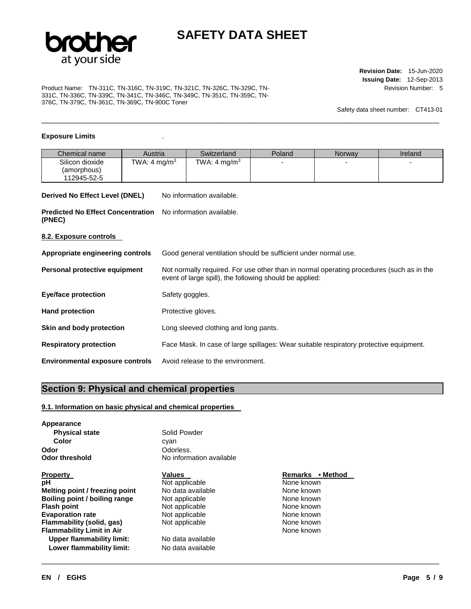

\_\_\_\_\_\_\_\_\_\_\_\_\_\_\_\_\_\_\_\_\_\_\_\_\_\_\_\_\_\_\_\_\_\_\_\_\_\_\_\_\_\_\_\_\_\_\_\_\_\_\_\_\_\_\_\_\_\_\_\_\_\_\_\_\_\_\_\_\_\_\_\_\_\_\_\_\_\_\_\_\_\_\_\_\_\_\_\_\_\_\_\_\_

Product Name: TN-311C, TN-316C, TN-319C, TN-321C, TN-326C, TN-329C, TN-331C, TN-336C, TN-339C, TN-341C, TN-346C, TN-349C, TN-351C, TN-359C, TN-376C, TN-379C, TN-361C, TN-369C, TN-900C Toner

**Revision Date:** 15-Jun-2020 **Issuing Date:** 12-Sep-2013 Revision Number: 5

Safety data sheet number: CT413-01

#### **Exposure Limits** .

| Chemical name                                      | Austria                  |                                                                                                                                                     | Switzerland                       | Poland | Norway | Ireland |  |
|----------------------------------------------------|--------------------------|-----------------------------------------------------------------------------------------------------------------------------------------------------|-----------------------------------|--------|--------|---------|--|
| Silicon dioxide                                    | TWA: 4 mg/m <sup>3</sup> |                                                                                                                                                     | TWA: 4 mg/m $3$                   |        |        |         |  |
| (amorphous)                                        |                          |                                                                                                                                                     |                                   |        |        |         |  |
| 112945-52-5                                        |                          |                                                                                                                                                     |                                   |        |        |         |  |
|                                                    |                          |                                                                                                                                                     |                                   |        |        |         |  |
| Derived No Effect Level (DNEL)                     |                          |                                                                                                                                                     | No information available.         |        |        |         |  |
| <b>Predicted No Effect Concentration</b><br>(PNEC) |                          | No information available.                                                                                                                           |                                   |        |        |         |  |
| 8.2. Exposure controls                             |                          |                                                                                                                                                     |                                   |        |        |         |  |
| Appropriate engineering controls                   |                          | Good general ventilation should be sufficient under normal use.                                                                                     |                                   |        |        |         |  |
| Personal protective equipment                      |                          | Not normally required. For use other than in normal operating procedures (such as in the<br>event of large spill), the following should be applied: |                                   |        |        |         |  |
| Eye/face protection                                |                          | Safety goggles.                                                                                                                                     |                                   |        |        |         |  |
| <b>Hand protection</b>                             |                          | Protective gloves.                                                                                                                                  |                                   |        |        |         |  |
| Skin and body protection                           |                          | Long sleeved clothing and long pants.                                                                                                               |                                   |        |        |         |  |
| <b>Respiratory protection</b>                      |                          | Face Mask. In case of large spillages: Wear suitable respiratory protective equipment.                                                              |                                   |        |        |         |  |
| <b>Environmental exposure controls</b>             |                          |                                                                                                                                                     | Avoid release to the environment. |        |        |         |  |

# **Section 9: Physical and chemical properties**

### **9.1. Information on basic physical and chemical properties**

| Appearance                       |                          |                  |
|----------------------------------|--------------------------|------------------|
| <b>Physical state</b>            | Solid Powder             |                  |
| Color                            | cyan                     |                  |
| Odor                             | Odorless.                |                  |
| Odor threshold                   | No information available |                  |
| Property                         | Values                   | Remarks • Method |
| рH                               | Not applicable           | None known       |
| Melting point / freezing point   | No data available        | None known       |
| Boiling point / boiling range    | Not applicable           | None known       |
| Flash point                      | Not applicable           | None known       |
| <b>Evaporation rate</b>          | Not applicable           | None known       |
| Flammability (solid, gas)        | Not applicable           | None known       |
| <b>Flammability Limit in Air</b> |                          | None known       |
| Upper flammability limit:        | No data available        |                  |
| Lower flammability limit:        | No data available        |                  |
|                                  |                          |                  |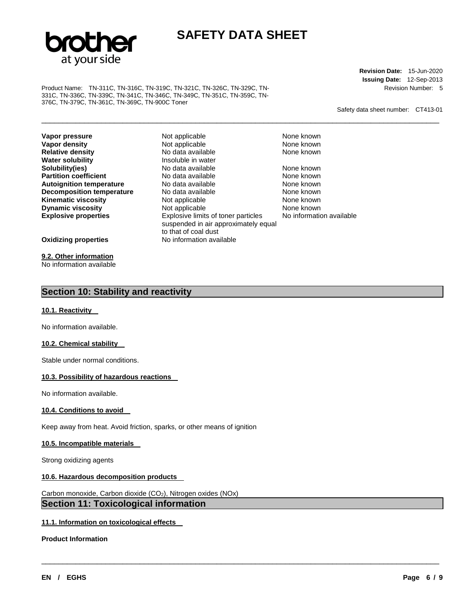

\_\_\_\_\_\_\_\_\_\_\_\_\_\_\_\_\_\_\_\_\_\_\_\_\_\_\_\_\_\_\_\_\_\_\_\_\_\_\_\_\_\_\_\_\_\_\_\_\_\_\_\_\_\_\_\_\_\_\_\_\_\_\_\_\_\_\_\_\_\_\_\_\_\_\_\_\_\_\_\_\_\_\_\_\_\_\_\_\_\_\_\_\_

\_\_\_\_\_\_\_\_\_\_\_\_\_\_\_\_\_\_\_\_\_\_\_\_\_\_\_\_\_\_\_\_\_\_\_\_\_\_\_\_\_\_\_\_\_\_\_\_\_\_\_\_\_\_\_\_\_\_\_\_\_\_\_\_\_\_\_\_\_\_\_\_\_\_\_\_\_\_\_\_\_\_\_\_\_\_\_\_\_\_\_\_\_

Product Name: TN-311C, TN-316C, TN-319C, TN-321C, TN-326C, TN-329C, TN-331C, TN-336C, TN-339C, TN-341C, TN-346C, TN-349C, TN-351C, TN-359C, TN-376C, TN-379C, TN-361C, TN-369C, TN-900C Toner

**Revision Date:** 15-Jun-2020 **Issuing Date:** 12-Sep-2013 Revision Number: 5

Safety data sheet number: CT413-01

| Vapor pressure                   | Not applicable                                                                                      | None known               |
|----------------------------------|-----------------------------------------------------------------------------------------------------|--------------------------|
| Vapor density                    | Not applicable                                                                                      | None known               |
| <b>Relative density</b>          | No data available                                                                                   | None known               |
| <b>Water solubility</b>          | Insoluble in water                                                                                  |                          |
| Solubility(ies)                  | No data available                                                                                   | None known               |
| <b>Partition coefficient</b>     | No data available                                                                                   | None known               |
| <b>Autoignition temperature</b>  | No data available                                                                                   | None known               |
| <b>Decomposition temperature</b> | No data available                                                                                   | None known               |
| <b>Kinematic viscosity</b>       | Not applicable                                                                                      | None known               |
| <b>Dynamic viscosity</b>         | Not applicable                                                                                      | None known               |
| <b>Explosive properties</b>      | Explosive limits of toner particles<br>suspended in air approximately equal<br>to that of coal dust | No information available |
| <b>Oxidizing properties</b>      | No information available                                                                            |                          |

**9.2. Other information** No information available

## **Section 10: Stability and reactivity**

#### **10.1. Reactivity**

No information available.

#### **10.2. Chemical stability**

Stable under normal conditions.

#### **10.3. Possibility of hazardous reactions**

No information available.

### **10.4. Conditions to avoid**

Keep away from heat. Avoid friction, sparks, or other means of ignition

### **10.5. Incompatible materials**

Strong oxidizing agents

#### **10.6. Hazardous decomposition products**

Carbon monoxide, Carbon dioxide (CO<sub>2</sub>), Nitrogen oxides (NOx)

## **Section 11: Toxicological information**

#### **11.1. Information on toxicological effects**

**Product Information**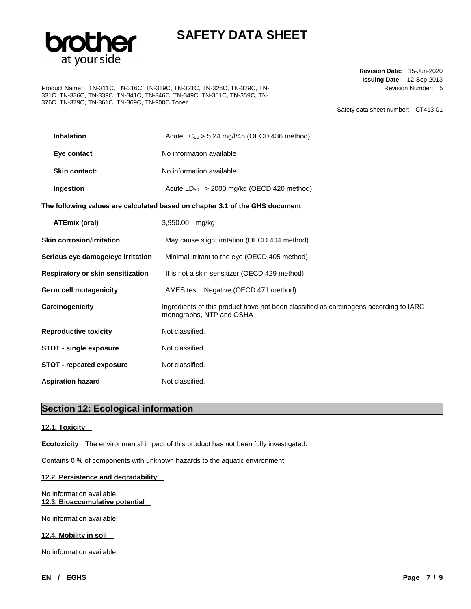

\_\_\_\_\_\_\_\_\_\_\_\_\_\_\_\_\_\_\_\_\_\_\_\_\_\_\_\_\_\_\_\_\_\_\_\_\_\_\_\_\_\_\_\_\_\_\_\_\_\_\_\_\_\_\_\_\_\_\_\_\_\_\_\_\_\_\_\_\_\_\_\_\_\_\_\_\_\_\_\_\_\_\_\_\_\_\_\_\_\_\_\_\_

Product Name: TN-311C, TN-316C, TN-319C, TN-321C, TN-326C, TN-329C, TN-331C, TN-336C, TN-339C, TN-341C, TN-346C, TN-349C, TN-351C, TN-359C, TN-376C, TN-379C, TN-361C, TN-369C, TN-900C Toner

**Revision Date:** 15-Jun-2020 **Issuing Date:** 12-Sep-2013 Revision Number: 5

Safety data sheet number: CT413-01

| <b>Inhalation</b>                        | Acute $LC_{50} > 5.24$ mg/l/4h (OECD 436 method)                                                                  |
|------------------------------------------|-------------------------------------------------------------------------------------------------------------------|
| Eye contact                              | No information available                                                                                          |
| <b>Skin contact:</b>                     | No information available                                                                                          |
| <b>Ingestion</b>                         | Acute $LD_{50}$ > 2000 mg/kg (OECD 420 method)                                                                    |
|                                          | The following values are calculated based on chapter 3.1 of the GHS document                                      |
| <b>ATEmix (oral)</b>                     | 3,950.00 mg/kg                                                                                                    |
| <b>Skin corrosion/irritation</b>         | May cause slight irritation (OECD 404 method)                                                                     |
| Serious eye damage/eye irritation        | Minimal irritant to the eye (OECD 405 method)                                                                     |
| <b>Respiratory or skin sensitization</b> | It is not a skin sensitizer (OECD 429 method)                                                                     |
| Germ cell mutagenicity                   | AMES test: Negative (OECD 471 method)                                                                             |
| <b>Carcinogenicity</b>                   | Ingredients of this product have not been classified as carcinogens according to IARC<br>monographs, NTP and OSHA |
| <b>Reproductive toxicity</b>             | Not classified.                                                                                                   |
| <b>STOT - single exposure</b>            | Not classified.                                                                                                   |
| <b>STOT - repeated exposure</b>          | Not classified.                                                                                                   |
| Aspiration hazard                        | Not classified.                                                                                                   |

\_\_\_\_\_\_\_\_\_\_\_\_\_\_\_\_\_\_\_\_\_\_\_\_\_\_\_\_\_\_\_\_\_\_\_\_\_\_\_\_\_\_\_\_\_\_\_\_\_\_\_\_\_\_\_\_\_\_\_\_\_\_\_\_\_\_\_\_\_\_\_\_\_\_\_\_\_\_\_\_\_\_\_\_\_\_\_\_\_\_\_\_\_

## **Section 12: Ecological information**

#### **12.1. Toxicity**

**Ecotoxicity** The environmental impact of this product has not been fully investigated.

Contains 0 % of components with unknown hazards to the aquatic environment.

### **12.2. Persistence and degradability**

#### No information available. **12.3. Bioaccumulative potential**

No information available.

#### **12.4. Mobility in soil**

No information available.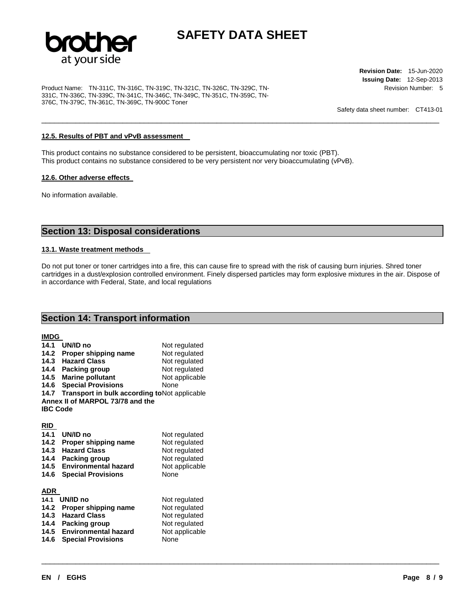

\_\_\_\_\_\_\_\_\_\_\_\_\_\_\_\_\_\_\_\_\_\_\_\_\_\_\_\_\_\_\_\_\_\_\_\_\_\_\_\_\_\_\_\_\_\_\_\_\_\_\_\_\_\_\_\_\_\_\_\_\_\_\_\_\_\_\_\_\_\_\_\_\_\_\_\_\_\_\_\_\_\_\_\_\_\_\_\_\_\_\_\_\_

Product Name: TN-311C, TN-316C, TN-319C, TN-321C, TN-326C, TN-329C, TN-331C, TN-336C, TN-339C, TN-341C, TN-346C, TN-349C, TN-351C, TN-359C, TN-376C, TN-379C, TN-361C, TN-369C, TN-900C Toner

**Revision Date:** 15-Jun-2020 **Issuing Date:** 12-Sep-2013 Revision Number: 5

Safety data sheet number: CT413-01

#### **12.5. Results of PBT and vPvB assessment**

This product contains no substance considered to be persistent, bioaccumulating nor toxic (PBT). This product contains no substance considered to be very persistent nor very bioaccumulating (vPvB).

#### **12.6. Other adverse effects**

No information available.

## **Section 13: Disposal considerations**

#### **13.1. Waste treatment methods**

Do not put toner or toner cartridges into a fire, this can cause fire to spread with the risk of causing burn injuries. Shred toner cartridges in a dust/explosion controlled environment. Finely dispersed particles may form explosive mixtures in the air. Dispose of in accordance with Federal, State, and local regulations

\_\_\_\_\_\_\_\_\_\_\_\_\_\_\_\_\_\_\_\_\_\_\_\_\_\_\_\_\_\_\_\_\_\_\_\_\_\_\_\_\_\_\_\_\_\_\_\_\_\_\_\_\_\_\_\_\_\_\_\_\_\_\_\_\_\_\_\_\_\_\_\_\_\_\_\_\_\_\_\_\_\_\_\_\_\_\_\_\_\_\_\_\_

## **Section 14: Transport information**

| .,<br>٠<br>.,<br>÷ |
|--------------------|
|                    |

| 14.1<br>14.2<br>14.3<br>14.4<br>14.5<br>14.6<br>14.7 | UN/ID no<br>Proper shipping name<br><b>Hazard Class</b><br><b>Packing group</b><br><b>Marine pollutant</b><br><b>Special Provisions</b><br>Transport in bulk according toNot applicable | Not regulated<br>Not regulated<br>Not regulated<br>Not regulated<br>Not applicable<br>None |
|------------------------------------------------------|-----------------------------------------------------------------------------------------------------------------------------------------------------------------------------------------|--------------------------------------------------------------------------------------------|
|                                                      | Annex II of MARPOL 73/78 and the                                                                                                                                                        |                                                                                            |
| <b>IBC Code</b><br><b>RID</b>                        |                                                                                                                                                                                         |                                                                                            |
| 14.1                                                 | UN/ID no                                                                                                                                                                                | Not regulated                                                                              |
| 14.2                                                 | Proper shipping name                                                                                                                                                                    | Not regulated                                                                              |
| 14.3                                                 | <b>Hazard Class</b>                                                                                                                                                                     | Not regulated                                                                              |
| 14.4                                                 | Packing group                                                                                                                                                                           | Not regulated                                                                              |
| 14.5                                                 | <b>Environmental hazard</b>                                                                                                                                                             | Not applicable                                                                             |
| 14.6                                                 | <b>Special Provisions</b>                                                                                                                                                               | <b>None</b>                                                                                |
| <u>ADR</u>                                           |                                                                                                                                                                                         |                                                                                            |
| 14.1                                                 | UN/ID no                                                                                                                                                                                | Not regulated                                                                              |
| 14.2                                                 | Proper shipping name                                                                                                                                                                    | Not regulated                                                                              |
| 14.3                                                 | <b>Hazard Class</b>                                                                                                                                                                     | Not regulated                                                                              |
| 14.4<br>14.5                                         | Packing group<br><b>Environmental hazard</b>                                                                                                                                            | Not regulated                                                                              |
|                                                      |                                                                                                                                                                                         | Not applicable<br>None                                                                     |
| 14.6                                                 | <b>Special Provisions</b>                                                                                                                                                               |                                                                                            |